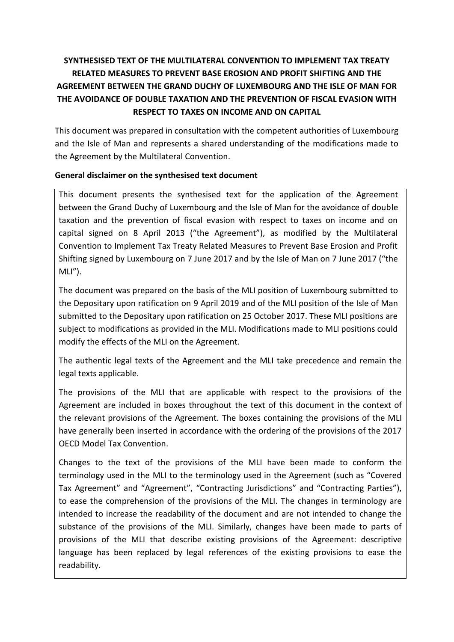# **SYNTHESISED TEXT OF THE MULTILATERAL CONVENTION TO IMPLEMENT TAX TREATY RELATED MEASURES TO PREVENT BASE EROSION AND PROFIT SHIFTING AND THE AGREEMENT BETWEEN THE GRAND DUCHY OF LUXEMBOURG AND THE ISLE OF MAN FOR THE AVOIDANCE OF DOUBLE TAXATION AND THE PREVENTION OF FISCAL EVASION WITH RESPECT TO TAXES ON INCOME AND ON CAPITAL**

This document was prepared in consultation with the competent authorities of Luxembourg and the Isle of Man and represents a shared understanding of the modifications made to the Agreement by the Multilateral Convention.

# **General disclaimer on the synthesised text document**

This document presents the synthesised text for the application of the Agreement between the Grand Duchy of Luxembourg and the Isle of Man for the avoidance of double taxation and the prevention of fiscal evasion with respect to taxes on income and on capital signed on 8 April 2013 ("the Agreement"), as modified by the Multilateral Convention to Implement Tax Treaty Related Measures to Prevent Base Erosion and Profit Shifting signed by Luxembourg on 7 June 2017 and by the Isle of Man on 7 June 2017 ("the MLI").

The document was prepared on the basis of the MLI position of Luxembourg submitted to the Depositary upon ratification on 9 April 2019 and of the MLI position of the Isle of Man submitted to the Depositary upon ratification on 25 October 2017. These MLI positions are subject to modifications as provided in the MLI. Modifications made to MLI positions could modify the effects of the MLI on the Agreement.

The authentic legal texts of the Agreement and the MLI take precedence and remain the legal texts applicable.

The provisions of the MLI that are applicable with respect to the provisions of the Agreement are included in boxes throughout the text of this document in the context of the relevant provisions of the Agreement. The boxes containing the provisions of the MLI have generally been inserted in accordance with the ordering of the provisions of the 2017 OECD Model Tax Convention.

Changes to the text of the provisions of the MLI have been made to conform the terminology used in the MLI to the terminology used in the Agreement (such as "Covered Tax Agreement" and "Agreement", "Contracting Jurisdictions" and "Contracting Parties"), to ease the comprehension of the provisions of the MLI. The changes in terminology are intended to increase the readability of the document and are not intended to change the substance of the provisions of the MLI. Similarly, changes have been made to parts of provisions of the MLI that describe existing provisions of the Agreement: descriptive language has been replaced by legal references of the existing provisions to ease the readability.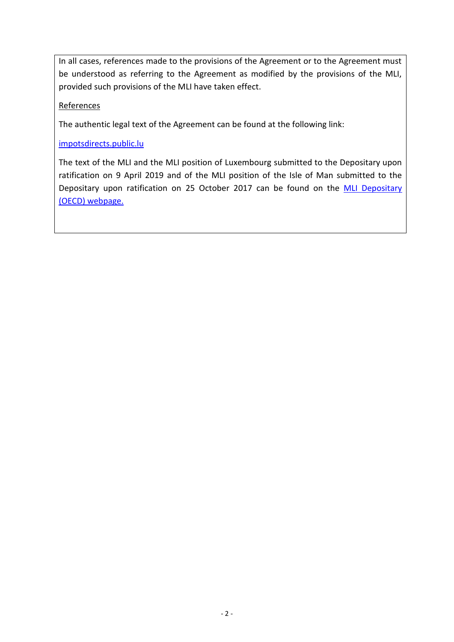In all cases, references made to the provisions of the Agreement or to the Agreement must be understood as referring to the Agreement as modified by the provisions of the MLI, provided such provisions of the MLI have taken effect.

## **References**

The authentic legal text of the Agreement can be found at the following link:

## [impotsdirects.public.lu](https://impotsdirects.public.lu/fr.html)

The text of the MLI and the MLI position of Luxembourg submitted to the Depositary upon ratification on 9 April 2019 and of the MLI position of the Isle of Man submitted to the Depositary upon ratification on 25 October 2017 can be found on the MLI Depositary [\(OECD\) webpage.](https://www.oecd.org/tax/treaties/multilateral-convention-to-implement-tax-treaty-related-measures-to-prevent-beps.htm)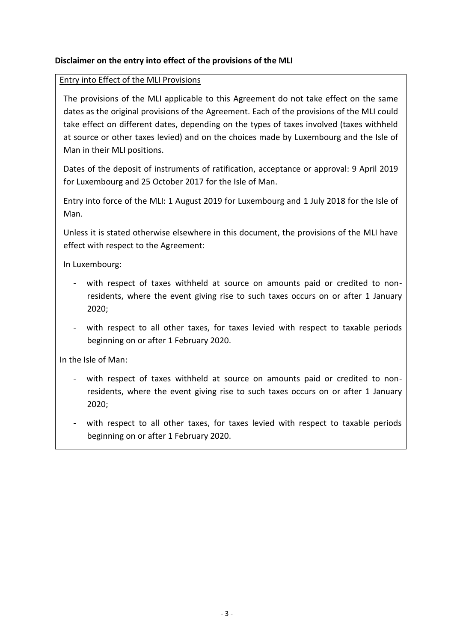# **Disclaimer on the entry into effect of the provisions of the MLI**

#### Entry into Effect of the MLI Provisions

The provisions of the MLI applicable to this Agreement do not take effect on the same dates as the original provisions of the Agreement. Each of the provisions of the MLI could take effect on different dates, depending on the types of taxes involved (taxes withheld at source or other taxes levied) and on the choices made by Luxembourg and the Isle of Man in their MLI positions.

Dates of the deposit of instruments of ratification, acceptance or approval: 9 April 2019 for Luxembourg and 25 October 2017 for the Isle of Man.

Entry into force of the MLI: 1 August 2019 for Luxembourg and 1 July 2018 for the Isle of Man.

Unless it is stated otherwise elsewhere in this document, the provisions of the MLI have effect with respect to the Agreement:

In Luxembourg:

- with respect of taxes withheld at source on amounts paid or credited to nonresidents, where the event giving rise to such taxes occurs on or after 1 January 2020;
- with respect to all other taxes, for taxes levied with respect to taxable periods beginning on or after 1 February 2020.

In the Isle of Man:

- with respect of taxes withheld at source on amounts paid or credited to nonresidents, where the event giving rise to such taxes occurs on or after 1 January 2020;
- with respect to all other taxes, for taxes levied with respect to taxable periods beginning on or after 1 February 2020.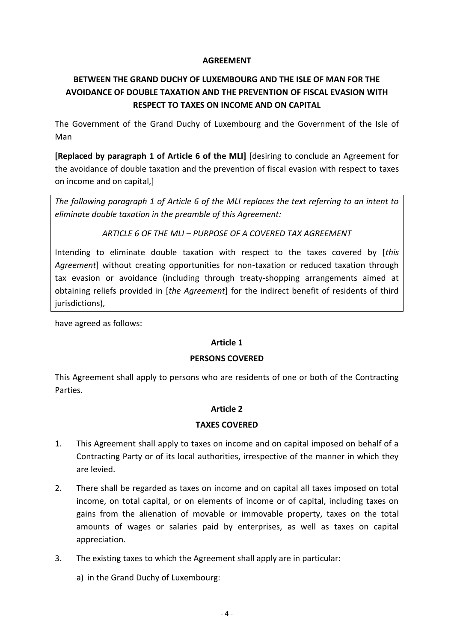#### **AGREEMENT**

# **BETWEEN THE GRAND DUCHY OF LUXEMBOURG AND THE ISLE OF MAN FOR THE AVOIDANCE OF DOUBLE TAXATION AND THE PREVENTION OF FISCAL EVASION WITH RESPECT TO TAXES ON INCOME AND ON CAPITAL**

The Government of the Grand Duchy of Luxembourg and the Government of the Isle of Man

**[Replaced by paragraph 1 of Article 6 of the MLI]** [desiring to conclude an Agreement for the avoidance of double taxation and the prevention of fiscal evasion with respect to taxes on income and on capital,]

*The following paragraph 1 of Article 6 of the MLI replaces the text referring to an intent to eliminate double taxation in the preamble of this Agreement:*

*ARTICLE 6 OF THE MLI – PURPOSE OF A COVERED TAX AGREEMENT*

Intending to eliminate double taxation with respect to the taxes covered by [*this Agreement*] without creating opportunities for non-taxation or reduced taxation through tax evasion or avoidance (including through treaty-shopping arrangements aimed at obtaining reliefs provided in [*the Agreement*] for the indirect benefit of residents of third jurisdictions),

have agreed as follows:

## **Article 1**

## **PERSONS COVERED**

This Agreement shall apply to persons who are residents of one or both of the Contracting Parties.

## **Article 2**

## **TAXES COVERED**

- 1. This Agreement shall apply to taxes on income and on capital imposed on behalf of a Contracting Party or of its local authorities, irrespective of the manner in which they are levied.
- 2. There shall be regarded as taxes on income and on capital all taxes imposed on total income, on total capital, or on elements of income or of capital, including taxes on gains from the alienation of movable or immovable property, taxes on the total amounts of wages or salaries paid by enterprises, as well as taxes on capital appreciation.
- 3. The existing taxes to which the Agreement shall apply are in particular:
	- a) in the Grand Duchy of Luxembourg: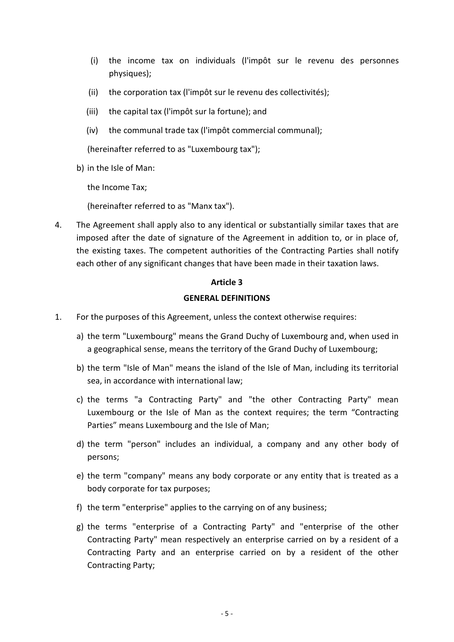- (i) the income tax on individuals (l'impôt sur le revenu des personnes physiques);
- (ii) the corporation tax (l'impôt sur le revenu des collectivités);
- (iii) the capital tax (l'impôt sur la fortune); and
- (iv) the communal trade tax (l'impôt commercial communal);

(hereinafter referred to as "Luxembourg tax");

b) in the Isle of Man:

the Income Tax;

(hereinafter referred to as "Manx tax").

4. The Agreement shall apply also to any identical or substantially similar taxes that are imposed after the date of signature of the Agreement in addition to, or in place of, the existing taxes. The competent authorities of the Contracting Parties shall notify each other of any significant changes that have been made in their taxation laws.

#### **Article 3**

#### **GENERAL DEFINITIONS**

- 1. For the purposes of this Agreement, unless the context otherwise requires:
	- a) the term "Luxembourg" means the Grand Duchy of Luxembourg and, when used in a geographical sense, means the territory of the Grand Duchy of Luxembourg;
	- b) the term "Isle of Man" means the island of the Isle of Man, including its territorial sea, in accordance with international law;
	- c) the terms "a Contracting Party" and "the other Contracting Party" mean Luxembourg or the Isle of Man as the context requires; the term "Contracting Parties" means Luxembourg and the Isle of Man;
	- d) the term "person" includes an individual, a company and any other body of persons;
	- e) the term "company" means any body corporate or any entity that is treated as a body corporate for tax purposes;
	- f) the term "enterprise" applies to the carrying on of any business;
	- g) the terms "enterprise of a Contracting Party" and "enterprise of the other Contracting Party" mean respectively an enterprise carried on by a resident of a Contracting Party and an enterprise carried on by a resident of the other Contracting Party;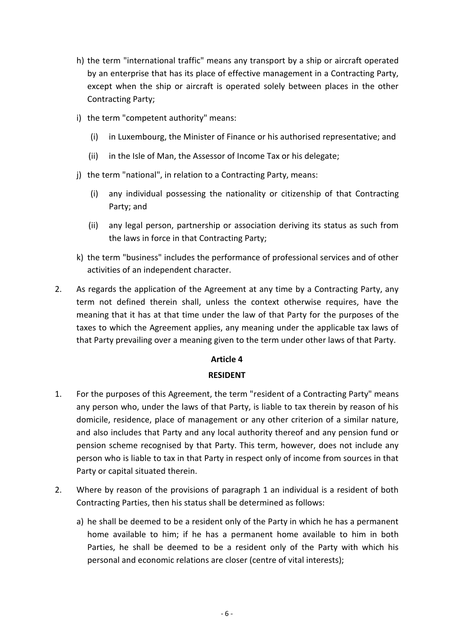- h) the term "international traffic" means any transport by a ship or aircraft operated by an enterprise that has its place of effective management in a Contracting Party, except when the ship or aircraft is operated solely between places in the other Contracting Party;
- i) the term "competent authority" means:
	- (i) in Luxembourg, the Minister of Finance or his authorised representative; and
	- (ii) in the Isle of Man, the Assessor of Income Tax or his delegate;
- j) the term "national", in relation to a Contracting Party, means:
	- (i) any individual possessing the nationality or citizenship of that Contracting Party; and
	- (ii) any legal person, partnership or association deriving its status as such from the laws in force in that Contracting Party;
- k) the term "business" includes the performance of professional services and of other activities of an independent character.
- 2. As regards the application of the Agreement at any time by a Contracting Party, any term not defined therein shall, unless the context otherwise requires, have the meaning that it has at that time under the law of that Party for the purposes of the taxes to which the Agreement applies, any meaning under the applicable tax laws of that Party prevailing over a meaning given to the term under other laws of that Party.

## **RESIDENT**

- 1. For the purposes of this Agreement, the term "resident of a Contracting Party" means any person who, under the laws of that Party, is liable to tax therein by reason of his domicile, residence, place of management or any other criterion of a similar nature, and also includes that Party and any local authority thereof and any pension fund or pension scheme recognised by that Party. This term, however, does not include any person who is liable to tax in that Party in respect only of income from sources in that Party or capital situated therein.
- 2. Where by reason of the provisions of paragraph 1 an individual is a resident of both Contracting Parties, then his status shall be determined as follows:
	- a) he shall be deemed to be a resident only of the Party in which he has a permanent home available to him; if he has a permanent home available to him in both Parties, he shall be deemed to be a resident only of the Party with which his personal and economic relations are closer (centre of vital interests);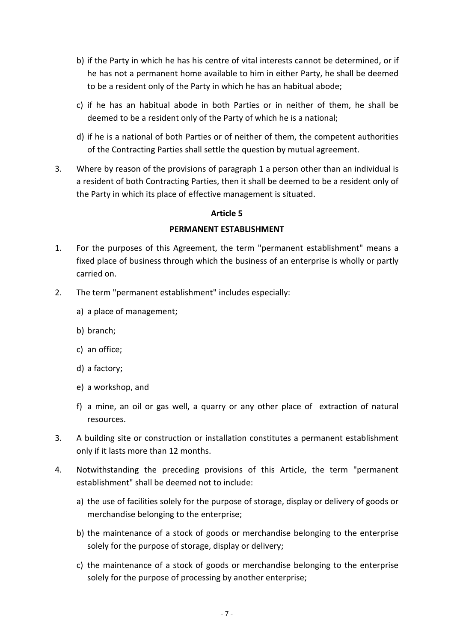- b) if the Party in which he has his centre of vital interests cannot be determined, or if he has not a permanent home available to him in either Party, he shall be deemed to be a resident only of the Party in which he has an habitual abode;
- c) if he has an habitual abode in both Parties or in neither of them, he shall be deemed to be a resident only of the Party of which he is a national;
- d) if he is a national of both Parties or of neither of them, the competent authorities of the Contracting Parties shall settle the question by mutual agreement.
- 3. Where by reason of the provisions of paragraph 1 a person other than an individual is a resident of both Contracting Parties, then it shall be deemed to be a resident only of the Party in which its place of effective management is situated.

#### **PERMANENT ESTABLISHMENT**

- 1. For the purposes of this Agreement, the term "permanent establishment" means a fixed place of business through which the business of an enterprise is wholly or partly carried on.
- 2. The term "permanent establishment" includes especially:
	- a) a place of management;
	- b) branch;
	- c) an office;
	- d) a factory;
	- e) a workshop, and
	- f) a mine, an oil or gas well, a quarry or any other place of extraction of natural resources.
- 3. A building site or construction or installation constitutes a permanent establishment only if it lasts more than 12 months.
- 4. Notwithstanding the preceding provisions of this Article, the term "permanent establishment" shall be deemed not to include:
	- a) the use of facilities solely for the purpose of storage, display or delivery of goods or merchandise belonging to the enterprise;
	- b) the maintenance of a stock of goods or merchandise belonging to the enterprise solely for the purpose of storage, display or delivery;
	- c) the maintenance of a stock of goods or merchandise belonging to the enterprise solely for the purpose of processing by another enterprise;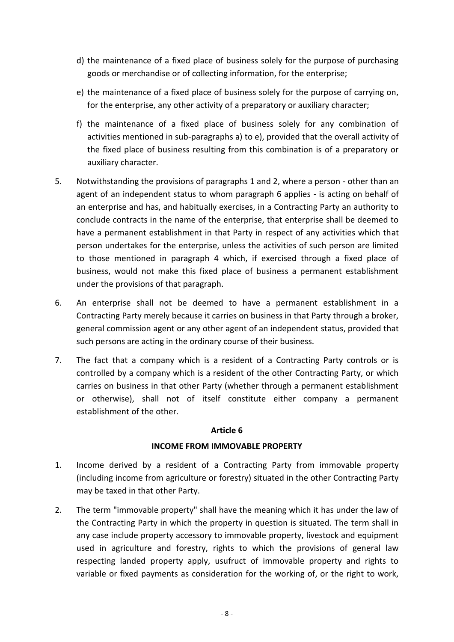- d) the maintenance of a fixed place of business solely for the purpose of purchasing goods or merchandise or of collecting information, for the enterprise;
- e) the maintenance of a fixed place of business solely for the purpose of carrying on, for the enterprise, any other activity of a preparatory or auxiliary character;
- f) the maintenance of a fixed place of business solely for any combination of activities mentioned in sub-paragraphs a) to e), provided that the overall activity of the fixed place of business resulting from this combination is of a preparatory or auxiliary character.
- 5. Notwithstanding the provisions of paragraphs 1 and 2, where a person other than an agent of an independent status to whom paragraph 6 applies - is acting on behalf of an enterprise and has, and habitually exercises, in a Contracting Party an authority to conclude contracts in the name of the enterprise, that enterprise shall be deemed to have a permanent establishment in that Party in respect of any activities which that person undertakes for the enterprise, unless the activities of such person are limited to those mentioned in paragraph 4 which, if exercised through a fixed place of business, would not make this fixed place of business a permanent establishment under the provisions of that paragraph.
- 6. An enterprise shall not be deemed to have a permanent establishment in a Contracting Party merely because it carries on business in that Party through a broker, general commission agent or any other agent of an independent status, provided that such persons are acting in the ordinary course of their business.
- 7. The fact that a company which is a resident of a Contracting Party controls or is controlled by a company which is a resident of the other Contracting Party, or which carries on business in that other Party (whether through a permanent establishment or otherwise), shall not of itself constitute either company a permanent establishment of the other.

## **INCOME FROM IMMOVABLE PROPERTY**

- 1. Income derived by a resident of a Contracting Party from immovable property (including income from agriculture or forestry) situated in the other Contracting Party may be taxed in that other Party.
- 2. The term "immovable property" shall have the meaning which it has under the law of the Contracting Party in which the property in question is situated. The term shall in any case include property accessory to immovable property, livestock and equipment used in agriculture and forestry, rights to which the provisions of general law respecting landed property apply, usufruct of immovable property and rights to variable or fixed payments as consideration for the working of, or the right to work,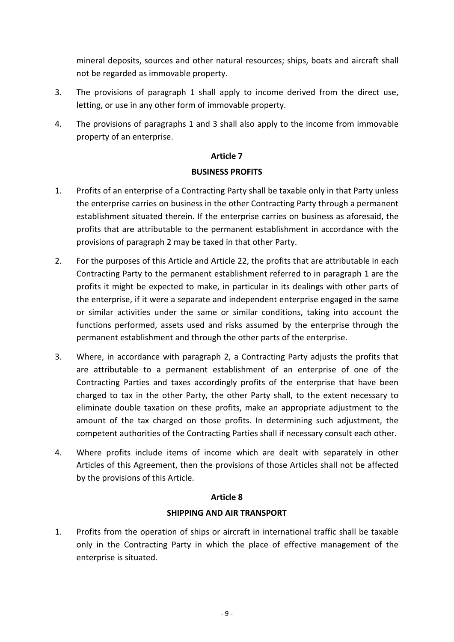mineral deposits, sources and other natural resources; ships, boats and aircraft shall not be regarded as immovable property.

- 3. The provisions of paragraph 1 shall apply to income derived from the direct use, letting, or use in any other form of immovable property.
- 4. The provisions of paragraphs 1 and 3 shall also apply to the income from immovable property of an enterprise.

## **Article 7**

## **BUSINESS PROFITS**

- 1. Profits of an enterprise of a Contracting Party shall be taxable only in that Party unless the enterprise carries on business in the other Contracting Party through a permanent establishment situated therein. If the enterprise carries on business as aforesaid, the profits that are attributable to the permanent establishment in accordance with the provisions of paragraph 2 may be taxed in that other Party.
- 2. For the purposes of this Article and Article 22, the profits that are attributable in each Contracting Party to the permanent establishment referred to in paragraph 1 are the profits it might be expected to make, in particular in its dealings with other parts of the enterprise, if it were a separate and independent enterprise engaged in the same or similar activities under the same or similar conditions, taking into account the functions performed, assets used and risks assumed by the enterprise through the permanent establishment and through the other parts of the enterprise.
- 3. Where, in accordance with paragraph 2, a Contracting Party adjusts the profits that are attributable to a permanent establishment of an enterprise of one of the Contracting Parties and taxes accordingly profits of the enterprise that have been charged to tax in the other Party, the other Party shall, to the extent necessary to eliminate double taxation on these profits, make an appropriate adjustment to the amount of the tax charged on those profits. In determining such adjustment, the competent authorities of the Contracting Parties shall if necessary consult each other.
- 4. Where profits include items of income which are dealt with separately in other Articles of this Agreement, then the provisions of those Articles shall not be affected by the provisions of this Article.

#### **Article 8**

## **SHIPPING AND AIR TRANSPORT**

1. Profits from the operation of ships or aircraft in international traffic shall be taxable only in the Contracting Party in which the place of effective management of the enterprise is situated.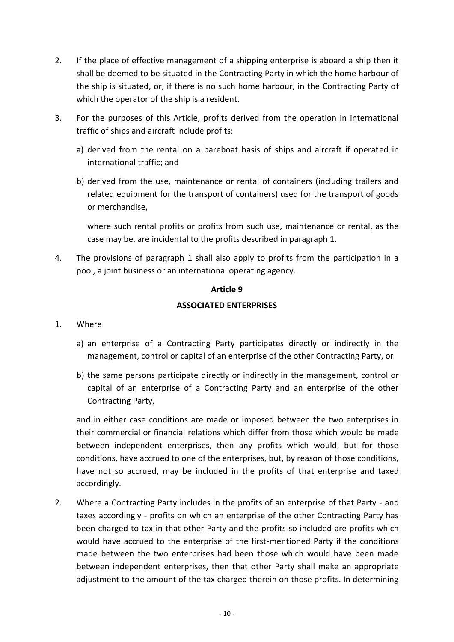- 2. If the place of effective management of a shipping enterprise is aboard a ship then it shall be deemed to be situated in the Contracting Party in which the home harbour of the ship is situated, or, if there is no such home harbour, in the Contracting Party of which the operator of the ship is a resident.
- 3. For the purposes of this Article, profits derived from the operation in international traffic of ships and aircraft include profits:
	- a) derived from the rental on a bareboat basis of ships and aircraft if operated in international traffic; and
	- b) derived from the use, maintenance or rental of containers (including trailers and related equipment for the transport of containers) used for the transport of goods or merchandise,

where such rental profits or profits from such use, maintenance or rental, as the case may be, are incidental to the profits described in paragraph 1.

4. The provisions of paragraph 1 shall also apply to profits from the participation in a pool, a joint business or an international operating agency.

## **Article 9**

# **ASSOCIATED ENTERPRISES**

## 1. Where

- a) an enterprise of a Contracting Party participates directly or indirectly in the management, control or capital of an enterprise of the other Contracting Party, or
- b) the same persons participate directly or indirectly in the management, control or capital of an enterprise of a Contracting Party and an enterprise of the other Contracting Party,

and in either case conditions are made or imposed between the two enterprises in their commercial or financial relations which differ from those which would be made between independent enterprises, then any profits which would, but for those conditions, have accrued to one of the enterprises, but, by reason of those conditions, have not so accrued, may be included in the profits of that enterprise and taxed accordingly.

2. Where a Contracting Party includes in the profits of an enterprise of that Party - and taxes accordingly - profits on which an enterprise of the other Contracting Party has been charged to tax in that other Party and the profits so included are profits which would have accrued to the enterprise of the first-mentioned Party if the conditions made between the two enterprises had been those which would have been made between independent enterprises, then that other Party shall make an appropriate adjustment to the amount of the tax charged therein on those profits. In determining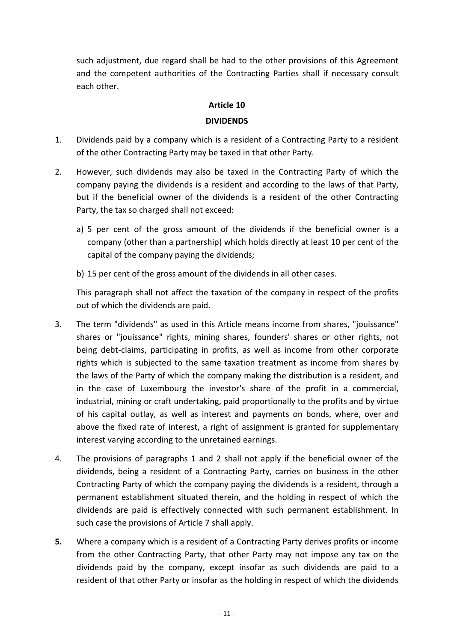such adjustment, due regard shall be had to the other provisions of this Agreement and the competent authorities of the Contracting Parties shall if necessary consult each other.

#### **Article 10**

#### **DIVIDENDS**

- 1. Dividends paid by a company which is a resident of a Contracting Party to a resident of the other Contracting Party may be taxed in that other Party.
- 2. However, such dividends may also be taxed in the Contracting Party of which the company paying the dividends is a resident and according to the laws of that Party, but if the beneficial owner of the dividends is a resident of the other Contracting Party, the tax so charged shall not exceed:
	- a) 5 per cent of the gross amount of the dividends if the beneficial owner is a company (other than a partnership) which holds directly at least 10 per cent of the capital of the company paying the dividends;
	- b) 15 per cent of the gross amount of the dividends in all other cases.

This paragraph shall not affect the taxation of the company in respect of the profits out of which the dividends are paid.

- 3. The term "dividends" as used in this Article means income from shares, "jouissance" shares or "jouissance" rights, mining shares, founders' shares or other rights, not being debt-claims, participating in profits, as well as income from other corporate rights which is subjected to the same taxation treatment as income from shares by the laws of the Party of which the company making the distribution is a resident, and in the case of Luxembourg the investor's share of the profit in a commercial, industrial, mining or craft undertaking, paid proportionally to the profits and by virtue of his capital outlay, as well as interest and payments on bonds, where, over and above the fixed rate of interest, a right of assignment is granted for supplementary interest varying according to the unretained earnings.
- 4. The provisions of paragraphs 1 and 2 shall not apply if the beneficial owner of the dividends, being a resident of a Contracting Party, carries on business in the other Contracting Party of which the company paying the dividends is a resident, through a permanent establishment situated therein, and the holding in respect of which the dividends are paid is effectively connected with such permanent establishment. In such case the provisions of Article 7 shall apply.
- **5.** Where a company which is a resident of a Contracting Party derives profits or income from the other Contracting Party, that other Party may not impose any tax on the dividends paid by the company, except insofar as such dividends are paid to a resident of that other Party or insofar as the holding in respect of which the dividends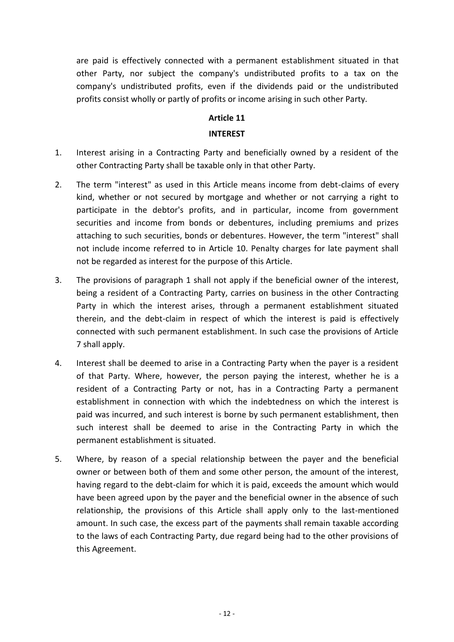are paid is effectively connected with a permanent establishment situated in that other Party, nor subject the company's undistributed profits to a tax on the company's undistributed profits, even if the dividends paid or the undistributed profits consist wholly or partly of profits or income arising in such other Party.

# **Article 11**

#### **INTEREST**

- 1. Interest arising in a Contracting Party and beneficially owned by a resident of the other Contracting Party shall be taxable only in that other Party.
- 2. The term "interest" as used in this Article means income from debt-claims of every kind, whether or not secured by mortgage and whether or not carrying a right to participate in the debtor's profits, and in particular, income from government securities and income from bonds or debentures, including premiums and prizes attaching to such securities, bonds or debentures. However, the term "interest" shall not include income referred to in Article 10. Penalty charges for late payment shall not be regarded as interest for the purpose of this Article.
- 3. The provisions of paragraph 1 shall not apply if the beneficial owner of the interest, being a resident of a Contracting Party, carries on business in the other Contracting Party in which the interest arises, through a permanent establishment situated therein, and the debt-claim in respect of which the interest is paid is effectively connected with such permanent establishment. In such case the provisions of Article 7 shall apply.
- 4. Interest shall be deemed to arise in a Contracting Party when the payer is a resident of that Party. Where, however, the person paying the interest, whether he is a resident of a Contracting Party or not, has in a Contracting Party a permanent establishment in connection with which the indebtedness on which the interest is paid was incurred, and such interest is borne by such permanent establishment, then such interest shall be deemed to arise in the Contracting Party in which the permanent establishment is situated.
- 5. Where, by reason of a special relationship between the payer and the beneficial owner or between both of them and some other person, the amount of the interest, having regard to the debt-claim for which it is paid, exceeds the amount which would have been agreed upon by the payer and the beneficial owner in the absence of such relationship, the provisions of this Article shall apply only to the last-mentioned amount. In such case, the excess part of the payments shall remain taxable according to the laws of each Contracting Party, due regard being had to the other provisions of this Agreement.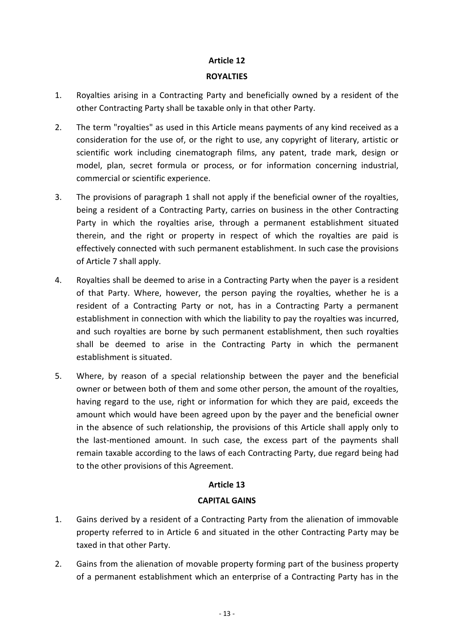#### **ROYALTIES**

- 1. Royalties arising in a Contracting Party and beneficially owned by a resident of the other Contracting Party shall be taxable only in that other Party.
- 2. The term "royalties" as used in this Article means payments of any kind received as a consideration for the use of, or the right to use, any copyright of literary, artistic or scientific work including cinematograph films, any patent, trade mark, design or model, plan, secret formula or process, or for information concerning industrial, commercial or scientific experience.
- 3. The provisions of paragraph 1 shall not apply if the beneficial owner of the royalties, being a resident of a Contracting Party, carries on business in the other Contracting Party in which the royalties arise, through a permanent establishment situated therein, and the right or property in respect of which the royalties are paid is effectively connected with such permanent establishment. In such case the provisions of Article 7 shall apply.
- 4. Royalties shall be deemed to arise in a Contracting Party when the payer is a resident of that Party. Where, however, the person paying the royalties, whether he is a resident of a Contracting Party or not, has in a Contracting Party a permanent establishment in connection with which the liability to pay the royalties was incurred, and such royalties are borne by such permanent establishment, then such royalties shall be deemed to arise in the Contracting Party in which the permanent establishment is situated.
- 5. Where, by reason of a special relationship between the payer and the beneficial owner or between both of them and some other person, the amount of the royalties, having regard to the use, right or information for which they are paid, exceeds the amount which would have been agreed upon by the payer and the beneficial owner in the absence of such relationship, the provisions of this Article shall apply only to the last-mentioned amount. In such case, the excess part of the payments shall remain taxable according to the laws of each Contracting Party, due regard being had to the other provisions of this Agreement.

## **Article 13**

## **CAPITAL GAINS**

- 1. Gains derived by a resident of a Contracting Party from the alienation of immovable property referred to in Article 6 and situated in the other Contracting Party may be taxed in that other Party.
- 2. Gains from the alienation of movable property forming part of the business property of a permanent establishment which an enterprise of a Contracting Party has in the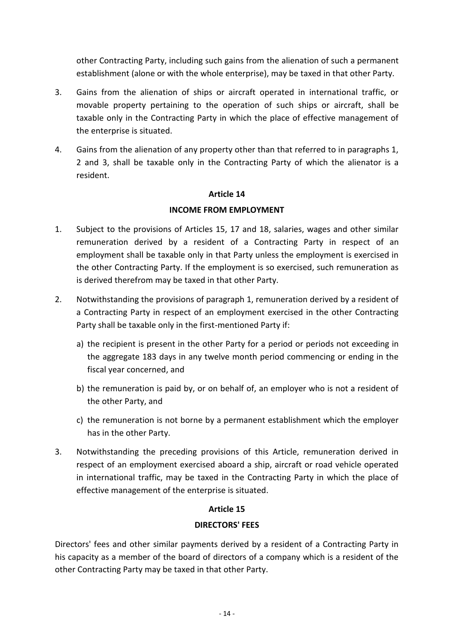other Contracting Party, including such gains from the alienation of such a permanent establishment (alone or with the whole enterprise), may be taxed in that other Party.

- 3. Gains from the alienation of ships or aircraft operated in international traffic, or movable property pertaining to the operation of such ships or aircraft, shall be taxable only in the Contracting Party in which the place of effective management of the enterprise is situated.
- 4. Gains from the alienation of any property other than that referred to in paragraphs 1, 2 and 3, shall be taxable only in the Contracting Party of which the alienator is a resident.

#### **Article 14**

#### **INCOME FROM EMPLOYMENT**

- 1. Subject to the provisions of Articles 15, 17 and 18, salaries, wages and other similar remuneration derived by a resident of a Contracting Party in respect of an employment shall be taxable only in that Party unless the employment is exercised in the other Contracting Party. If the employment is so exercised, such remuneration as is derived therefrom may be taxed in that other Party.
- 2. Notwithstanding the provisions of paragraph 1, remuneration derived by a resident of a Contracting Party in respect of an employment exercised in the other Contracting Party shall be taxable only in the first-mentioned Party if:
	- a) the recipient is present in the other Party for a period or periods not exceeding in the aggregate 183 days in any twelve month period commencing or ending in the fiscal year concerned, and
	- b) the remuneration is paid by, or on behalf of, an employer who is not a resident of the other Party, and
	- c) the remuneration is not borne by a permanent establishment which the employer has in the other Party.
- 3. Notwithstanding the preceding provisions of this Article, remuneration derived in respect of an employment exercised aboard a ship, aircraft or road vehicle operated in international traffic, may be taxed in the Contracting Party in which the place of effective management of the enterprise is situated.

#### **Article 15**

#### **DIRECTORS' FEES**

Directors' fees and other similar payments derived by a resident of a Contracting Party in his capacity as a member of the board of directors of a company which is a resident of the other Contracting Party may be taxed in that other Party.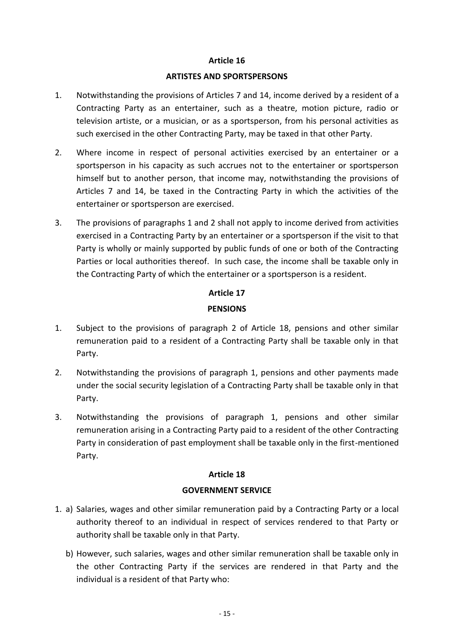#### **ARTISTES AND SPORTSPERSONS**

- 1. Notwithstanding the provisions of Articles 7 and 14, income derived by a resident of a Contracting Party as an entertainer, such as a theatre, motion picture, radio or television artiste, or a musician, or as a sportsperson, from his personal activities as such exercised in the other Contracting Party, may be taxed in that other Party.
- 2. Where income in respect of personal activities exercised by an entertainer or a sportsperson in his capacity as such accrues not to the entertainer or sportsperson himself but to another person, that income may, notwithstanding the provisions of Articles 7 and 14, be taxed in the Contracting Party in which the activities of the entertainer or sportsperson are exercised.
- 3. The provisions of paragraphs 1 and 2 shall not apply to income derived from activities exercised in a Contracting Party by an entertainer or a sportsperson if the visit to that Party is wholly or mainly supported by public funds of one or both of the Contracting Parties or local authorities thereof. In such case, the income shall be taxable only in the Contracting Party of which the entertainer or a sportsperson is a resident.

#### **Article 17**

#### **PENSIONS**

- 1. Subject to the provisions of paragraph 2 of Article 18, pensions and other similar remuneration paid to a resident of a Contracting Party shall be taxable only in that Party.
- 2. Notwithstanding the provisions of paragraph 1, pensions and other payments made under the social security legislation of a Contracting Party shall be taxable only in that Party.
- 3. Notwithstanding the provisions of paragraph 1, pensions and other similar remuneration arising in a Contracting Party paid to a resident of the other Contracting Party in consideration of past employment shall be taxable only in the first-mentioned Party.

## **Article 18**

## **GOVERNMENT SERVICE**

- 1. a) Salaries, wages and other similar remuneration paid by a Contracting Party or a local authority thereof to an individual in respect of services rendered to that Party or authority shall be taxable only in that Party.
	- b) However, such salaries, wages and other similar remuneration shall be taxable only in the other Contracting Party if the services are rendered in that Party and the individual is a resident of that Party who: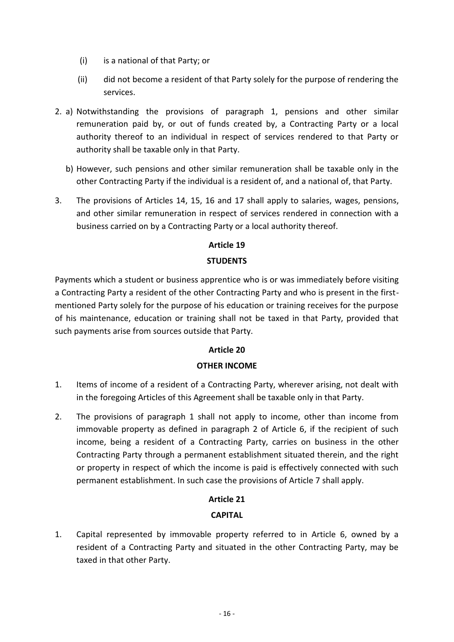- (i) is a national of that Party; or
- (ii) did not become a resident of that Party solely for the purpose of rendering the services.
- 2. a) Notwithstanding the provisions of paragraph 1, pensions and other similar remuneration paid by, or out of funds created by, a Contracting Party or a local authority thereof to an individual in respect of services rendered to that Party or authority shall be taxable only in that Party.
	- b) However, such pensions and other similar remuneration shall be taxable only in the other Contracting Party if the individual is a resident of, and a national of, that Party.
- 3. The provisions of Articles 14, 15, 16 and 17 shall apply to salaries, wages, pensions, and other similar remuneration in respect of services rendered in connection with a business carried on by a Contracting Party or a local authority thereof.

# **Article 19 STUDENTS**

Payments which a student or business apprentice who is or was immediately before visiting a Contracting Party a resident of the other Contracting Party and who is present in the firstmentioned Party solely for the purpose of his education or training receives for the purpose of his maintenance, education or training shall not be taxed in that Party, provided that such payments arise from sources outside that Party.

# **Article 20**

# **OTHER INCOME**

- 1. Items of income of a resident of a Contracting Party, wherever arising, not dealt with in the foregoing Articles of this Agreement shall be taxable only in that Party.
- 2. The provisions of paragraph 1 shall not apply to income, other than income from immovable property as defined in paragraph 2 of Article 6, if the recipient of such income, being a resident of a Contracting Party, carries on business in the other Contracting Party through a permanent establishment situated therein, and the right or property in respect of which the income is paid is effectively connected with such permanent establishment. In such case the provisions of Article 7 shall apply.

# **Article 21**

# **CAPITAL**

1. Capital represented by immovable property referred to in Article 6, owned by a resident of a Contracting Party and situated in the other Contracting Party, may be taxed in that other Party.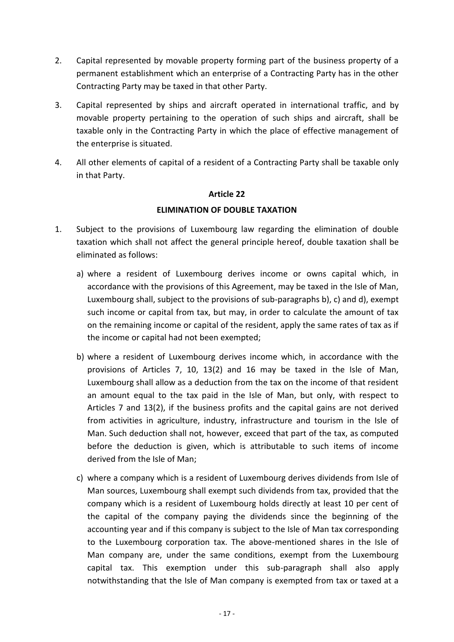- 2. Capital represented by movable property forming part of the business property of a permanent establishment which an enterprise of a Contracting Party has in the other Contracting Party may be taxed in that other Party.
- 3. Capital represented by ships and aircraft operated in international traffic, and by movable property pertaining to the operation of such ships and aircraft, shall be taxable only in the Contracting Party in which the place of effective management of the enterprise is situated.
- 4. All other elements of capital of a resident of a Contracting Party shall be taxable only in that Party.

## **ELIMINATION OF DOUBLE TAXATION**

- 1. Subject to the provisions of Luxembourg law regarding the elimination of double taxation which shall not affect the general principle hereof, double taxation shall be eliminated as follows:
	- a) where a resident of Luxembourg derives income or owns capital which, in accordance with the provisions of this Agreement, may be taxed in the Isle of Man, Luxembourg shall, subject to the provisions of sub-paragraphs b), c) and d), exempt such income or capital from tax, but may, in order to calculate the amount of tax on the remaining income or capital of the resident, apply the same rates of tax as if the income or capital had not been exempted;
	- b) where a resident of Luxembourg derives income which, in accordance with the provisions of Articles 7, 10, 13(2) and 16 may be taxed in the Isle of Man, Luxembourg shall allow as a deduction from the tax on the income of that resident an amount equal to the tax paid in the Isle of Man, but only, with respect to Articles 7 and 13(2), if the business profits and the capital gains are not derived from activities in agriculture, industry, infrastructure and tourism in the Isle of Man. Such deduction shall not, however, exceed that part of the tax, as computed before the deduction is given, which is attributable to such items of income derived from the Isle of Man;
	- c) where a company which is a resident of Luxembourg derives dividends from Isle of Man sources, Luxembourg shall exempt such dividends from tax, provided that the company which is a resident of Luxembourg holds directly at least 10 per cent of the capital of the company paying the dividends since the beginning of the accounting year and if this company is subject to the Isle of Man tax corresponding to the Luxembourg corporation tax. The above-mentioned shares in the Isle of Man company are, under the same conditions, exempt from the Luxembourg capital tax. This exemption under this sub-paragraph shall also apply notwithstanding that the Isle of Man company is exempted from tax or taxed at a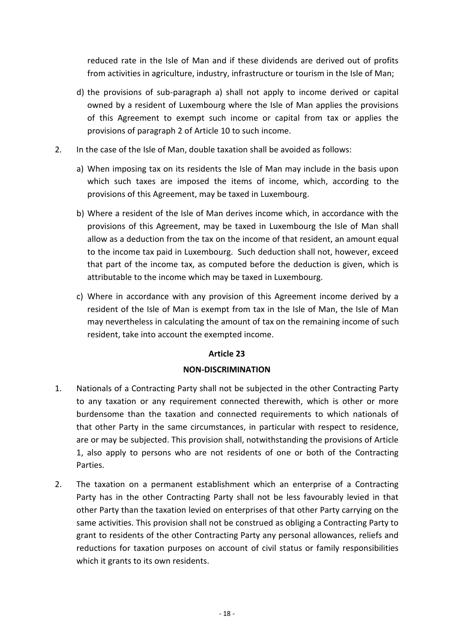reduced rate in the Isle of Man and if these dividends are derived out of profits from activities in agriculture, industry, infrastructure or tourism in the Isle of Man;

- d) the provisions of sub-paragraph a) shall not apply to income derived or capital owned by a resident of Luxembourg where the Isle of Man applies the provisions of this Agreement to exempt such income or capital from tax or applies the provisions of paragraph 2 of Article 10 to such income.
- 2. In the case of the Isle of Man, double taxation shall be avoided as follows:
	- a) When imposing tax on its residents the Isle of Man may include in the basis upon which such taxes are imposed the items of income, which, according to the provisions of this Agreement, may be taxed in Luxembourg.
	- b) Where a resident of the Isle of Man derives income which, in accordance with the provisions of this Agreement, may be taxed in Luxembourg the Isle of Man shall allow as a deduction from the tax on the income of that resident, an amount equal to the income tax paid in Luxembourg. Such deduction shall not, however, exceed that part of the income tax, as computed before the deduction is given, which is attributable to the income which may be taxed in Luxembourg.
	- c) Where in accordance with any provision of this Agreement income derived by a resident of the Isle of Man is exempt from tax in the Isle of Man, the Isle of Man may nevertheless in calculating the amount of tax on the remaining income of such resident, take into account the exempted income.

## **Article 23**

#### **NON-DISCRIMINATION**

- 1. Nationals of a Contracting Party shall not be subjected in the other Contracting Party to any taxation or any requirement connected therewith, which is other or more burdensome than the taxation and connected requirements to which nationals of that other Party in the same circumstances, in particular with respect to residence, are or may be subjected. This provision shall, notwithstanding the provisions of Article 1, also apply to persons who are not residents of one or both of the Contracting Parties.
- 2. The taxation on a permanent establishment which an enterprise of a Contracting Party has in the other Contracting Party shall not be less favourably levied in that other Party than the taxation levied on enterprises of that other Party carrying on the same activities. This provision shall not be construed as obliging a Contracting Party to grant to residents of the other Contracting Party any personal allowances, reliefs and reductions for taxation purposes on account of civil status or family responsibilities which it grants to its own residents.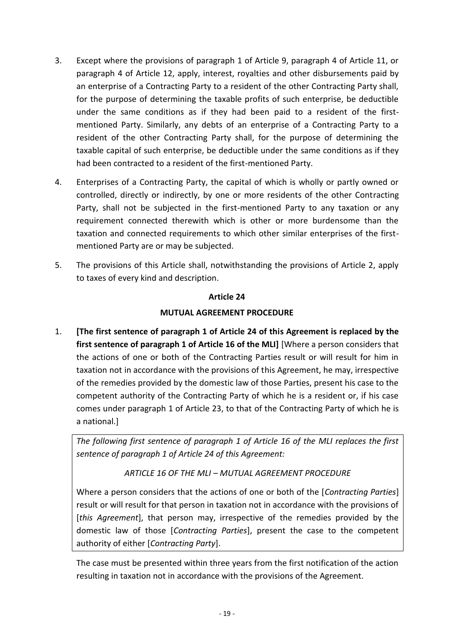- 3. Except where the provisions of paragraph 1 of Article 9, paragraph 4 of Article 11, or paragraph 4 of Article 12, apply, interest, royalties and other disbursements paid by an enterprise of a Contracting Party to a resident of the other Contracting Party shall, for the purpose of determining the taxable profits of such enterprise, be deductible under the same conditions as if they had been paid to a resident of the firstmentioned Party. Similarly, any debts of an enterprise of a Contracting Party to a resident of the other Contracting Party shall, for the purpose of determining the taxable capital of such enterprise, be deductible under the same conditions as if they had been contracted to a resident of the first-mentioned Party.
- 4. Enterprises of a Contracting Party, the capital of which is wholly or partly owned or controlled, directly or indirectly, by one or more residents of the other Contracting Party, shall not be subjected in the first-mentioned Party to any taxation or any requirement connected therewith which is other or more burdensome than the taxation and connected requirements to which other similar enterprises of the firstmentioned Party are or may be subjected.
- 5. The provisions of this Article shall, notwithstanding the provisions of Article 2, apply to taxes of every kind and description.

# **MUTUAL AGREEMENT PROCEDURE**

1. **[The first sentence of paragraph 1 of Article 24 of this Agreement is replaced by the first sentence of paragraph 1 of Article 16 of the MLI]** [Where a person considers that the actions of one or both of the Contracting Parties result or will result for him in taxation not in accordance with the provisions of this Agreement, he may, irrespective of the remedies provided by the domestic law of those Parties, present his case to the competent authority of the Contracting Party of which he is a resident or, if his case comes under paragraph 1 of Article 23, to that of the Contracting Party of which he is a national.]

*The following first sentence of paragraph 1 of Article 16 of the MLI replaces the first sentence of paragraph 1 of Article 24 of this Agreement:*

# *ARTICLE 16 OF THE MLI – MUTUAL AGREEMENT PROCEDURE*

Where a person considers that the actions of one or both of the [*Contracting Parties*] result or will result for that person in taxation not in accordance with the provisions of [*this Agreement*], that person may, irrespective of the remedies provided by the domestic law of those [*Contracting Parties*], present the case to the competent authority of either [*Contracting Party*].

The case must be presented within three years from the first notification of the action resulting in taxation not in accordance with the provisions of the Agreement.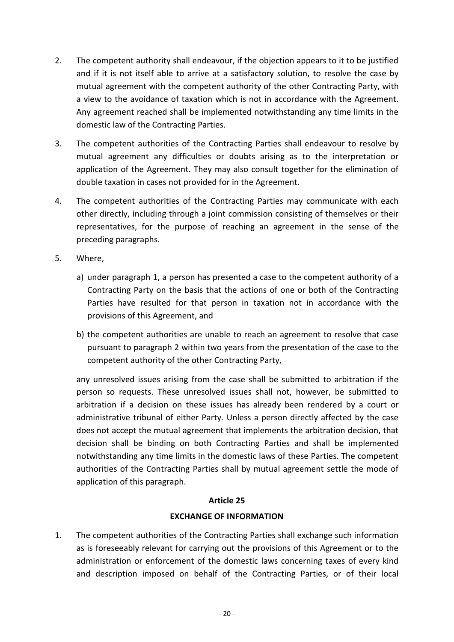- 2. The competent authority shall endeavour, if the objection appears to it to be justified and if it is not itself able to arrive at a satisfactory solution, to resolve the case by mutual agreement with the competent authority of the other Contracting Party, with a view to the avoidance of taxation which is not in accordance with the Agreement. Any agreement reached shall be implemented notwithstanding any time limits in the domestic law of the Contracting Parties.
- 3. The competent authorities of the Contracting Parties shall endeavour to resolve by mutual agreement any difficulties or doubts arising as to the interpretation or application of the Agreement. They may also consult together for the elimination of double taxation in cases not provided for in the Agreement.
- 4. The competent authorities of the Contracting Parties may communicate with each other directly, including through a joint commission consisting of themselves or their representatives, for the purpose of reaching an agreement in the sense of the preceding paragraphs.
- 5. Where,
	- a) under paragraph 1, a person has presented a case to the competent authority of a Contracting Party on the basis that the actions of one or both of the Contracting Parties have resulted for that person in taxation not in accordance with the provisions of this Agreement, and
	- b) the competent authorities are unable to reach an agreement to resolve that case pursuant to paragraph 2 within two years from the presentation of the case to the competent authority of the other Contracting Party,

any unresolved issues arising from the case shall be submitted to arbitration if the person so requests. These unresolved issues shall not, however, be submitted to arbitration if a decision on these issues has already been rendered by a court or administrative tribunal of either Party. Unless a person directly affected by the case does not accept the mutual agreement that implements the arbitration decision, that decision shall be binding on both Contracting Parties and shall be implemented notwithstanding any time limits in the domestic laws of these Parties. The competent authorities of the Contracting Parties shall by mutual agreement settle the mode of application of this paragraph.

## **Article 25**

#### **EXCHANGE OF INFORMATION**

1. The competent authorities of the Contracting Parties shall exchange such information as is foreseeably relevant for carrying out the provisions of this Agreement or to the administration or enforcement of the domestic laws concerning taxes of every kind and description imposed on behalf of the Contracting Parties, or of their local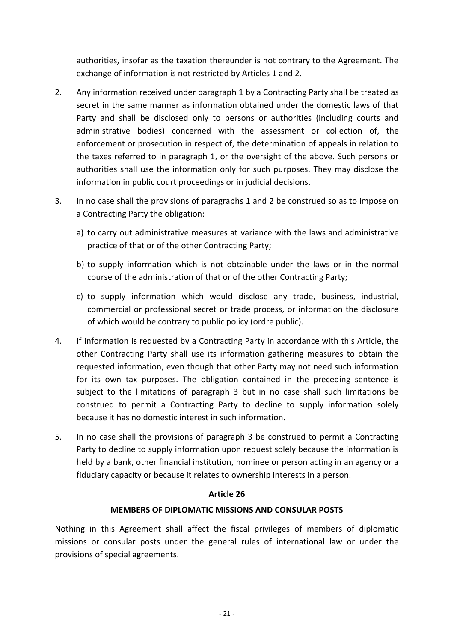authorities, insofar as the taxation thereunder is not contrary to the Agreement. The exchange of information is not restricted by Articles 1 and 2.

- 2. Any information received under paragraph 1 by a Contracting Party shall be treated as secret in the same manner as information obtained under the domestic laws of that Party and shall be disclosed only to persons or authorities (including courts and administrative bodies) concerned with the assessment or collection of, the enforcement or prosecution in respect of, the determination of appeals in relation to the taxes referred to in paragraph 1, or the oversight of the above. Such persons or authorities shall use the information only for such purposes. They may disclose the information in public court proceedings or in judicial decisions.
- 3. In no case shall the provisions of paragraphs 1 and 2 be construed so as to impose on a Contracting Party the obligation:
	- a) to carry out administrative measures at variance with the laws and administrative practice of that or of the other Contracting Party;
	- b) to supply information which is not obtainable under the laws or in the normal course of the administration of that or of the other Contracting Party;
	- c) to supply information which would disclose any trade, business, industrial, commercial or professional secret or trade process, or information the disclosure of which would be contrary to public policy (ordre public).
- 4. If information is requested by a Contracting Party in accordance with this Article, the other Contracting Party shall use its information gathering measures to obtain the requested information, even though that other Party may not need such information for its own tax purposes. The obligation contained in the preceding sentence is subject to the limitations of paragraph 3 but in no case shall such limitations be construed to permit a Contracting Party to decline to supply information solely because it has no domestic interest in such information.
- 5. In no case shall the provisions of paragraph 3 be construed to permit a Contracting Party to decline to supply information upon request solely because the information is held by a bank, other financial institution, nominee or person acting in an agency or a fiduciary capacity or because it relates to ownership interests in a person.

#### **Article 26**

## **MEMBERS OF DIPLOMATIC MISSIONS AND CONSULAR POSTS**

Nothing in this Agreement shall affect the fiscal privileges of members of diplomatic missions or consular posts under the general rules of international law or under the provisions of special agreements.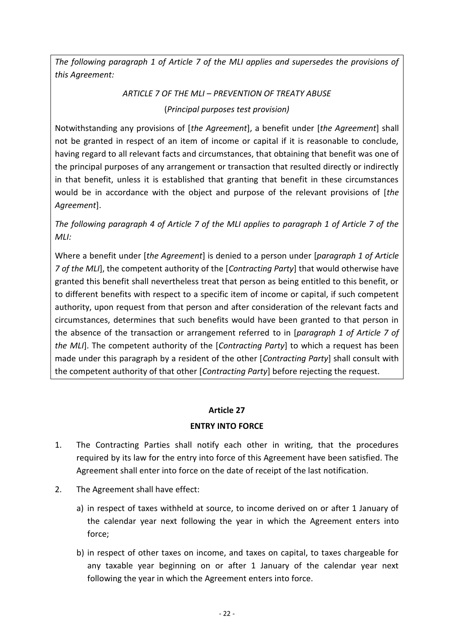*The following paragraph 1 of Article 7 of the MLI applies and supersedes the provisions of this Agreement:*

# *ARTICLE 7 OF THE MLI – PREVENTION OF TREATY ABUSE* (*Principal purposes test provision)*

Notwithstanding any provisions of [*the Agreement*], a benefit under [*the Agreement*] shall not be granted in respect of an item of income or capital if it is reasonable to conclude, having regard to all relevant facts and circumstances, that obtaining that benefit was one of the principal purposes of any arrangement or transaction that resulted directly or indirectly in that benefit, unless it is established that granting that benefit in these circumstances would be in accordance with the object and purpose of the relevant provisions of [*the Agreement*].

*The following paragraph 4 of Article 7 of the MLI applies to paragraph 1 of Article 7 of the MLI:*

Where a benefit under [*the Agreement*] is denied to a person under [*paragraph 1 of Article 7 of the MLI*], the competent authority of the [*Contracting Party*] that would otherwise have granted this benefit shall nevertheless treat that person as being entitled to this benefit, or to different benefits with respect to a specific item of income or capital, if such competent authority, upon request from that person and after consideration of the relevant facts and circumstances, determines that such benefits would have been granted to that person in the absence of the transaction or arrangement referred to in [*paragraph 1 of Article 7 of the MLI*]. The competent authority of the [*Contracting Party*] to which a request has been made under this paragraph by a resident of the other [*Contracting Party*] shall consult with the competent authority of that other [*Contracting Party*] before rejecting the request.

# **Article 27**

# **ENTRY INTO FORCE**

- 1. The Contracting Parties shall notify each other in writing, that the procedures required by its law for the entry into force of this Agreement have been satisfied. The Agreement shall enter into force on the date of receipt of the last notification.
- 2. The Agreement shall have effect:
	- a) in respect of taxes withheld at source, to income derived on or after 1 January of the calendar year next following the year in which the Agreement enters into force;
	- b) in respect of other taxes on income, and taxes on capital, to taxes chargeable for any taxable year beginning on or after 1 January of the calendar year next following the year in which the Agreement enters into force.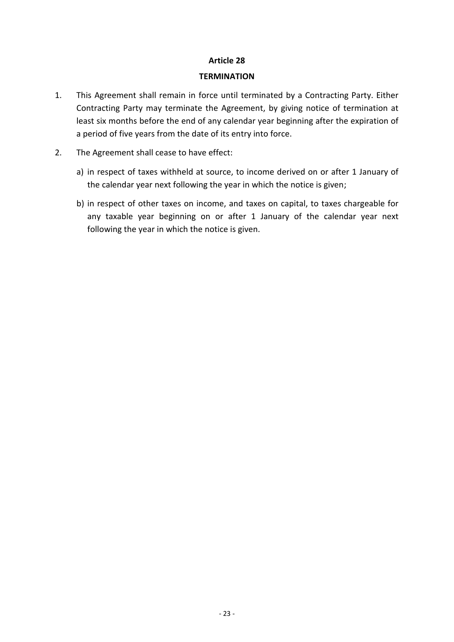#### **TERMINATION**

- 1. This Agreement shall remain in force until terminated by a Contracting Party. Either Contracting Party may terminate the Agreement, by giving notice of termination at least six months before the end of any calendar year beginning after the expiration of a period of five years from the date of its entry into force.
- 2. The Agreement shall cease to have effect:
	- a) in respect of taxes withheld at source, to income derived on or after 1 January of the calendar year next following the year in which the notice is given;
	- b) in respect of other taxes on income, and taxes on capital, to taxes chargeable for any taxable year beginning on or after 1 January of the calendar year next following the year in which the notice is given.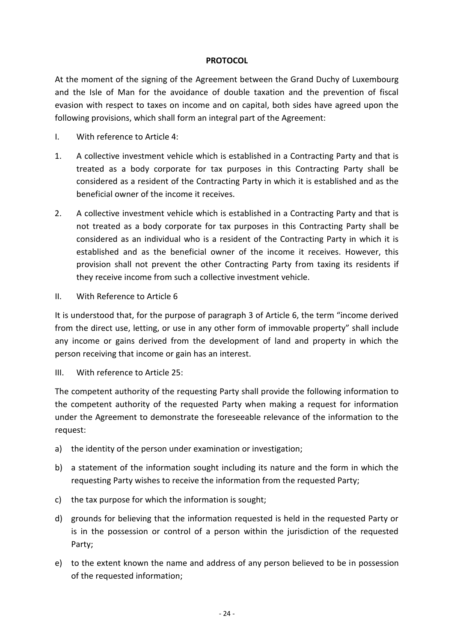#### **PROTOCOL**

At the moment of the signing of the Agreement between the Grand Duchy of Luxembourg and the Isle of Man for the avoidance of double taxation and the prevention of fiscal evasion with respect to taxes on income and on capital, both sides have agreed upon the following provisions, which shall form an integral part of the Agreement:

- I. With reference to Article 4:
- 1. A collective investment vehicle which is established in a Contracting Party and that is treated as a body corporate for tax purposes in this Contracting Party shall be considered as a resident of the Contracting Party in which it is established and as the beneficial owner of the income it receives.
- 2. A collective investment vehicle which is established in a Contracting Party and that is not treated as a body corporate for tax purposes in this Contracting Party shall be considered as an individual who is a resident of the Contracting Party in which it is established and as the beneficial owner of the income it receives. However, this provision shall not prevent the other Contracting Party from taxing its residents if they receive income from such a collective investment vehicle.
- II. With Reference to Article 6

It is understood that, for the purpose of paragraph 3 of Article 6, the term "income derived from the direct use, letting, or use in any other form of immovable property" shall include any income or gains derived from the development of land and property in which the person receiving that income or gain has an interest.

III. With reference to Article 25:

The competent authority of the requesting Party shall provide the following information to the competent authority of the requested Party when making a request for information under the Agreement to demonstrate the foreseeable relevance of the information to the request:

- a) the identity of the person under examination or investigation;
- b) a statement of the information sought including its nature and the form in which the requesting Party wishes to receive the information from the requested Party;
- c) the tax purpose for which the information is sought;
- d) grounds for believing that the information requested is held in the requested Party or is in the possession or control of a person within the jurisdiction of the requested Party;
- e) to the extent known the name and address of any person believed to be in possession of the requested information;